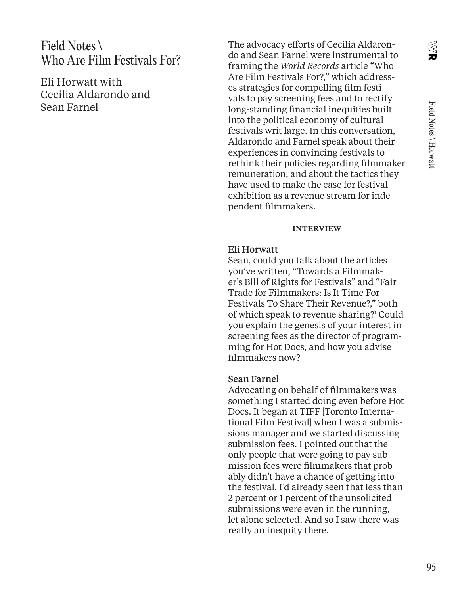X<br>Uk

## Field Notes \ Who Are Film Festivals For?

Eli Horwatt with Cecilia Aldarondo and Sean Farnel

The advocacy efforts of Cecilia Aldarondo and Sean Farnel were instrumental to framing the *World Records* article "Who Are Film Festivals For?," which addresses strategies for compelling film festivals to pay screening fees and to rectify long-standing financial inequities built into the political economy of cultural festivals writ large. In this conversation, Aldarondo and Farnel speak about their experiences in convincing festivals to rethink their policies regarding filmmaker remuneration, and about the tactics they have used to make the case for festival exhibition as a revenue stream for independent filmmakers.

#### INTERVIEW

#### Eli Horwatt

Sean, could you talk about the articles you've written, "Towards a Filmmaker's Bill of Rights for Festivals" and "Fair Trade for Filmmakers: Is It Time For Festivals To Share Their Revenue?," both of which speak to revenue sharing?1 Could you explain the genesis of your interest in screening fees as the director of programming for Hot Docs, and how you advise filmmakers now?

#### Sean Farnel

Advocating on behalf of filmmakers was something I started doing even before Hot Docs. It began at TIFF [Toronto International Film Festival] when I was a submissions manager and we started discussing submission fees. I pointed out that the only people that were going to pay submission fees were filmmakers that probably didn't have a chance of getting into the festival. I'd already seen that less than 2 percent or 1 percent of the unsolicited submissions were even in the running, let alone selected. And so I saw there was really an inequity there.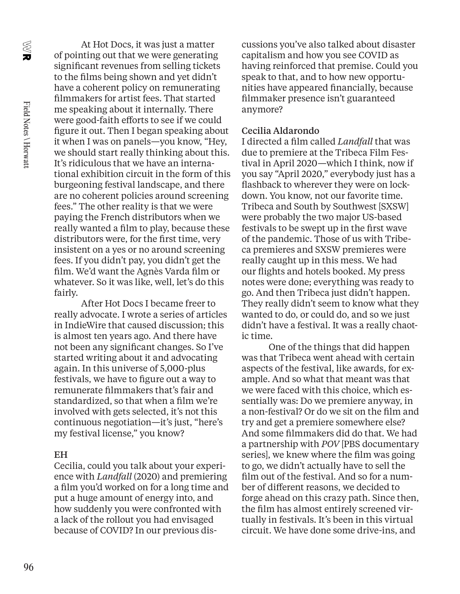X<br>U

At Hot Docs, it was just a matter of pointing out that we were generating significant revenues from selling tickets to the films being shown and yet didn't have a coherent policy on remunerating filmmakers for artist fees. That started me speaking about it internally. There were good-faith efforts to see if we could figure it out. Then I began speaking about it when I was on panels—you know, "Hey, we should start really thinking about this. It's ridiculous that we have an international exhibition circuit in the form of this burgeoning festival landscape, and there are no coherent policies around screening fees." The other reality is that we were paying the French distributors when we really wanted a film to play, because these distributors were, for the first time, very insistent on a yes or no around screening fees. If you didn't pay, you didn't get the film. We'd want the Agnès Varda film or whatever. So it was like, well, let's do this fairly.

After Hot Docs I became freer to really advocate. I wrote a series of articles in IndieWire that caused discussion; this is almost ten years ago. And there have not been any significant changes. So I've started writing about it and advocating again. In this universe of 5,000-plus festivals, we have to figure out a way to remunerate filmmakers that's fair and standardized, so that when a film we're involved with gets selected, it's not this continuous negotiation—it's just, "here's my festival license," you know?

#### EH

Cecilia, could you talk about your experience with *Landfall* (2020) and premiering a film you'd worked on for a long time and put a huge amount of energy into, and how suddenly you were confronted with a lack of the rollout you had envisaged because of COVID? In our previous discussions you've also talked about disaster capitalism and how you see COVID as having reinforced that premise. Could you speak to that, and to how new opportunities have appeared financially, because filmmaker presence isn't guaranteed anymore?

### Cecilia Aldarondo

I directed a film called *Landfall* that was due to premiere at the Tribeca Film Festival in April 2020—which I think, now if you say "April 2020," everybody just has a flashback to wherever they were on lockdown. You know, not our favorite time. Tribeca and South by Southwest [SXSW] were probably the two major US-based festivals to be swept up in the first wave of the pandemic. Those of us with Tribeca premieres and SXSW premieres were really caught up in this mess. We had our flights and hotels booked. My press notes were done; everything was ready to go. And then Tribeca just didn't happen. They really didn't seem to know what they wanted to do, or could do, and so we just didn't have a festival. It was a really chaotic time.

One of the things that did happen was that Tribeca went ahead with certain aspects of the festival, like awards, for example. And so what that meant was that we were faced with this choice, which essentially was: Do we premiere anyway, in a non-festival? Or do we sit on the film and try and get a premiere somewhere else? And some filmmakers did do that. We had a partnership with *POV* [PBS documentary series], we knew where the film was going to go, we didn't actually have to sell the film out of the festival. And so for a number of different reasons, we decided to forge ahead on this crazy path. Since then, the film has almost entirely screened virtually in festivals. It's been in this virtual circuit. We have done some drive-ins, and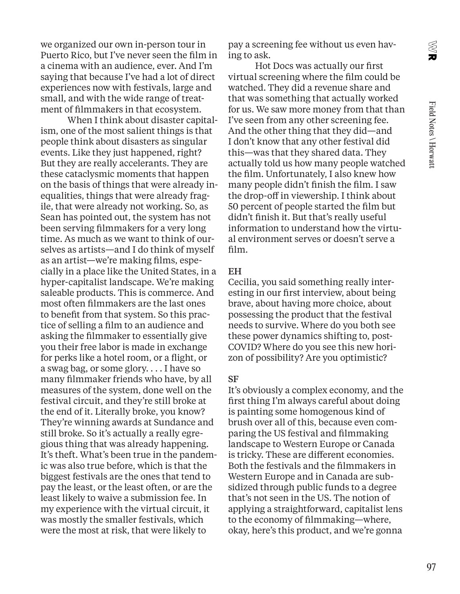X<br>U

we organized our own in-person tour in Puerto Rico, but I've never seen the film in a cinema with an audience, ever. And I'm saying that because I've had a lot of direct experiences now with festivals, large and small, and with the wide range of treatment of filmmakers in that ecosystem.

When I think about disaster capitalism, one of the most salient things is that people think about disasters as singular events. Like they just happened, right? But they are really accelerants. They are these cataclysmic moments that happen on the basis of things that were already inequalities, things that were already fragile, that were already not working. So, as Sean has pointed out, the system has not been serving filmmakers for a very long time. As much as we want to think of ourselves as artists—and I do think of myself as an artist—we're making films, especially in a place like the United States, in a hyper-capitalist landscape. We're making saleable products. This is commerce. And most often filmmakers are the last ones to benefit from that system. So this practice of selling a film to an audience and asking the filmmaker to essentially give you their free labor is made in exchange for perks like a hotel room, or a flight, or a swag bag, or some glory. . . . I have so many filmmaker friends who have, by all measures of the system, done well on the festival circuit, and they're still broke at the end of it. Literally broke, you know? They're winning awards at Sundance and still broke. So it's actually a really egregious thing that was already happening. It's theft. What's been true in the pandemic was also true before, which is that the biggest festivals are the ones that tend to pay the least, or the least often, or are the least likely to waive a submission fee. In my experience with the virtual circuit, it was mostly the smaller festivals, which were the most at risk, that were likely to

pay a screening fee without us even having to ask.

Hot Docs was actually our first virtual screening where the film could be watched. They did a revenue share and that was something that actually worked for us. We saw more money from that than I've seen from any other screening fee. And the other thing that they did—and I don't know that any other festival did this—was that they shared data. They actually told us how many people watched the film. Unfortunately, I also knew how many people didn't finish the film. I saw the drop-off in viewership. I think about 50 percent of people started the film but didn't finish it. But that's really useful information to understand how the virtual environment serves or doesn't serve a film.

#### **EH**

Cecilia, you said something really interesting in our first interview, about being brave, about having more choice, about possessing the product that the festival needs to survive. Where do you both see these power dynamics shifting to, post-COVID? Where do you see this new horizon of possibility? Are you optimistic?

#### SF

It's obviously a complex economy, and the first thing I'm always careful about doing is painting some homogenous kind of brush over all of this, because even comparing the US festival and filmmaking landscape to Western Europe or Canada is tricky. These are different economies. Both the festivals and the filmmakers in Western Europe and in Canada are subsidized through public funds to a degree that's not seen in the US. The notion of applying a straightforward, capitalist lens to the economy of filmmaking—where, okay, here's this product, and we're gonna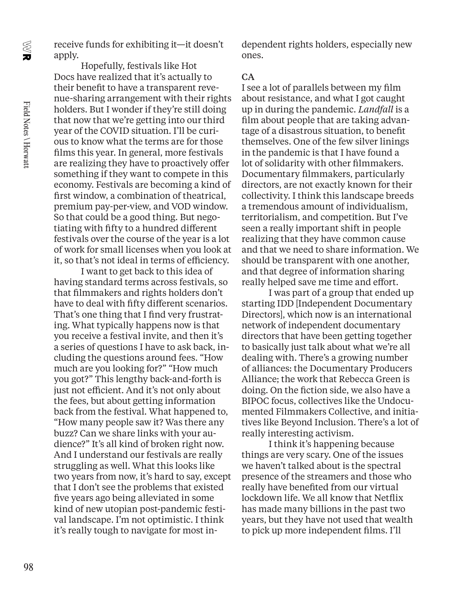X<br>U

receive funds for exhibiting it—it doesn't apply.

Hopefully, festivals like Hot Docs have realized that it's actually to their benefit to have a transparent revenue-sharing arrangement with their rights holders. But I wonder if they're still doing that now that we're getting into our third year of the COVID situation. I'll be curious to know what the terms are for those films this year. In general, more festivals are realizing they have to proactively offer something if they want to compete in this economy. Festivals are becoming a kind of first window, a combination of theatrical, premium pay-per-view, and VOD window. So that could be a good thing. But negotiating with fifty to a hundred different festivals over the course of the year is a lot of work for small licenses when you look at it, so that's not ideal in terms of efficiency.

I want to get back to this idea of having standard terms across festivals, so that filmmakers and rights holders don't have to deal with fifty different scenarios. That's one thing that I find very frustrating. What typically happens now is that you receive a festival invite, and then it's a series of questions I have to ask back, including the questions around fees. "How much are you looking for?" "How much you got?" This lengthy back-and-forth is just not efficient. And it's not only about the fees, but about getting information back from the festival. What happened to, "How many people saw it? Was there any buzz? Can we share links with your audience?" It's all kind of broken right now. And I understand our festivals are really struggling as well. What this looks like two years from now, it's hard to say, except that I don't see the problems that existed five years ago being alleviated in some kind of new utopian post-pandemic festival landscape. I'm not optimistic. I think it's really tough to navigate for most independent rights holders, especially new ones.

#### CA

I see a lot of parallels between my film about resistance, and what I got caught up in during the pandemic. *Landfall* is a film about people that are taking advantage of a disastrous situation, to benefit themselves. One of the few silver linings in the pandemic is that I have found a lot of solidarity with other filmmakers. Documentary filmmakers, particularly directors, are not exactly known for their collectivity. I think this landscape breeds a tremendous amount of individualism, territorialism, and competition. But I've seen a really important shift in people realizing that they have common cause and that we need to share information. We should be transparent with one another, and that degree of information sharing really helped save me time and effort.

I was part of a group that ended up starting IDD [Independent Documentary Directors], which now is an international network of independent documentary directors that have been getting together to basically just talk about what we're all dealing with. There's a growing number of alliances: the Documentary Producers Alliance; the work that Rebecca Green is doing. On the fiction side, we also have a BIPOC focus, collectives like the Undocumented Filmmakers Collective, and initiatives like Beyond Inclusion. There's a lot of really interesting activism.

I think it's happening because things are very scary. One of the issues we haven't talked about is the spectral presence of the streamers and those who really have benefited from our virtual lockdown life. We all know that Netflix has made many billions in the past two years, but they have not used that wealth to pick up more independent films. I'll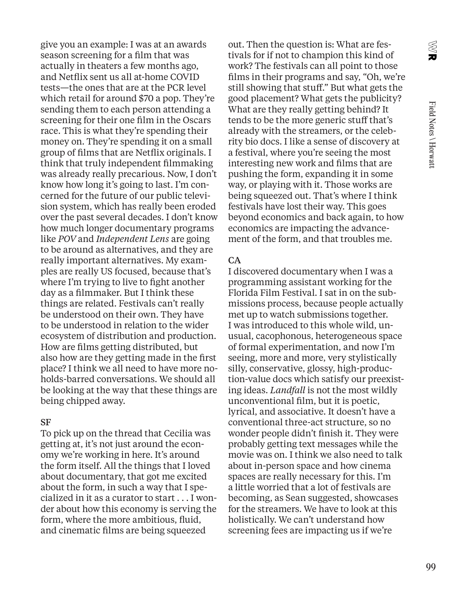X<br>Uk

give you an example: I was at an awards season screening for a film that was actually in theaters a few months ago, and Netflix sent us all at-home COVID tests—the ones that are at the PCR level which retail for around \$70 a pop. They're sending them to each person attending a screening for their one film in the Oscars race. This is what they're spending their money on. They're spending it on a small group of films that are Netflix originals. I think that truly independent filmmaking was already really precarious. Now, I don't know how long it's going to last. I'm concerned for the future of our public television system, which has really been eroded over the past several decades. I don't know how much longer documentary programs like *POV* and *Independent Lens* are going to be around as alternatives, and they are really important alternatives. My examples are really US focused, because that's where I'm trying to live to fight another day as a filmmaker. But I think these things are related. Festivals can't really be understood on their own. They have to be understood in relation to the wider ecosystem of distribution and production. How are films getting distributed, but also how are they getting made in the first place? I think we all need to have more noholds-barred conversations. We should all be looking at the way that these things are being chipped away.

#### SF

To pick up on the thread that Cecilia was getting at, it's not just around the economy we're working in here. It's around the form itself. All the things that I loved about documentary, that got me excited about the form, in such a way that I specialized in it as a curator to start . . . I wonder about how this economy is serving the form, where the more ambitious, fluid, and cinematic films are being squeezed

out. Then the question is: What are festivals for if not to champion this kind of work? The festivals can all point to those films in their programs and say, "Oh, we're still showing that stuff." But what gets the good placement? What gets the publicity? What are they really getting behind? It tends to be the more generic stuff that's already with the streamers, or the celebrity bio docs. I like a sense of discovery at a festival, where you're seeing the most interesting new work and films that are pushing the form, expanding it in some way, or playing with it. Those works are being squeezed out. That's where I think festivals have lost their way. This goes beyond economics and back again, to how economics are impacting the advancement of the form, and that troubles me.

#### CA

I discovered documentary when I was a programming assistant working for the Florida Film Festival. I sat in on the submissions process, because people actually met up to watch submissions together. I was introduced to this whole wild, unusual, cacophonous, heterogeneous space of formal experimentation, and now I'm seeing, more and more, very stylistically silly, conservative, glossy, high-production-value docs which satisfy our preexisting ideas. *Landfall* is not the most wildly unconventional film, but it is poetic, lyrical, and associative. It doesn't have a conventional three-act structure, so no wonder people didn't finish it. They were probably getting text messages while the movie was on. I think we also need to talk about in-person space and how cinema spaces are really necessary for this. I'm a little worried that a lot of festivals are becoming, as Sean suggested, showcases for the streamers. We have to look at this holistically. We can't understand how screening fees are impacting us if we're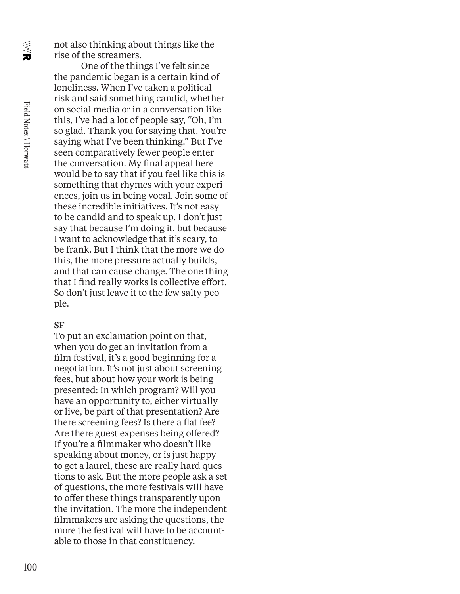X<br>Uk

not also thinking about things like the rise of the streamers.

One of the things I've felt since the pandemic began is a certain kind of loneliness. When I've taken a political risk and said something candid, whether on social media or in a conversation like this, I've had a lot of people say, "Oh, I'm so glad. Thank you for saying that. You're saying what I've been thinking." But I've seen comparatively fewer people enter the conversation. My final appeal here would be to say that if you feel like this is something that rhymes with your experiences, join us in being vocal. Join some of these incredible initiatives. It's not easy to be candid and to speak up. I don't just say that because I'm doing it, but because I want to acknowledge that it's scary, to be frank. But I think that the more we do this, the more pressure actually builds, and that can cause change. The one thing that I find really works is collective effort. So don't just leave it to the few salty people.

#### SF

To put an exclamation point on that, when you do get an invitation from a film festival, it's a good beginning for a negotiation. It's not just about screening fees, but about how your work is being presented: In which program? Will you have an opportunity to, either virtually or live, be part of that presentation? Are there screening fees? Is there a flat fee? Are there guest expenses being offered? If you're a filmmaker who doesn't like speaking about money, or is just happy to get a laurel, these are really hard questions to ask. But the more people ask a set of questions, the more festivals will have to offer these things transparently upon the invitation. The more the independent filmmakers are asking the questions, the more the festival will have to be accountable to those in that constituency.